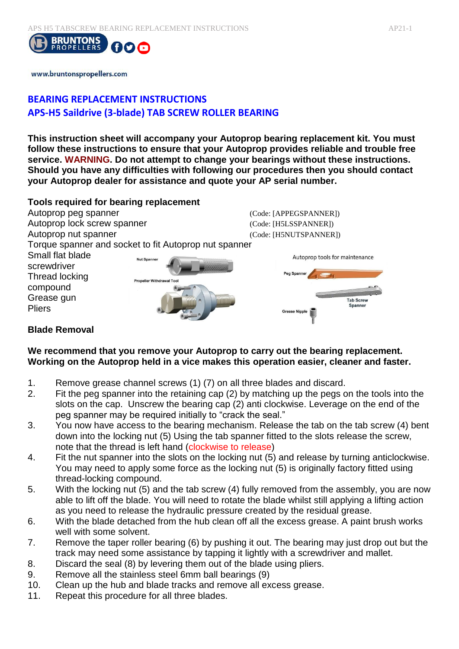

www.bruntonspropellers.com

# **BEARING REPLACEMENT INSTRUCTIONS APS-H5 Saildrive (3-blade) TAB SCREW ROLLER BEARING**

**This instruction sheet will accompany your Autoprop bearing replacement kit. You must follow these instructions to ensure that your Autoprop provides reliable and trouble free service. WARNING. Do not attempt to change your bearings without these instructions. Should you have any difficulties with following our procedures then you should contact your Autoprop dealer for assistance and quote your AP serial number.** 

### **Tools required for bearing replacement**



## **Blade Removal**

#### **We recommend that you remove your Autoprop to carry out the bearing replacement. Working on the Autoprop held in a vice makes this operation easier, cleaner and faster.**

- 1. Remove grease channel screws (1) (7) on all three blades and discard.
- 2. Fit the peg spanner into the retaining cap (2) by matching up the pegs on the tools into the slots on the cap. Unscrew the bearing cap (2) anti clockwise. Leverage on the end of the peg spanner may be required initially to "crack the seal."
- 3. You now have access to the bearing mechanism. Release the tab on the tab screw (4) bent down into the locking nut (5) Using the tab spanner fitted to the slots release the screw, note that the thread is left hand (clockwise to release)
- 4. Fit the nut spanner into the slots on the locking nut (5) and release by turning anticlockwise. You may need to apply some force as the locking nut (5) is originally factory fitted using thread-locking compound.
- 5. With the locking nut (5) and the tab screw (4) fully removed from the assembly, you are now able to lift off the blade. You will need to rotate the blade whilst still applying a lifting action as you need to release the hydraulic pressure created by the residual grease.
- 6. With the blade detached from the hub clean off all the excess grease. A paint brush works well with some solvent.
- 7. Remove the taper roller bearing (6) by pushing it out. The bearing may just drop out but the track may need some assistance by tapping it lightly with a screwdriver and mallet.
- 8. Discard the seal (8) by levering them out of the blade using pliers.
- 9. Remove all the stainless steel 6mm ball bearings (9)
- 10. Clean up the hub and blade tracks and remove all excess grease.
- 11. Repeat this procedure for all three blades.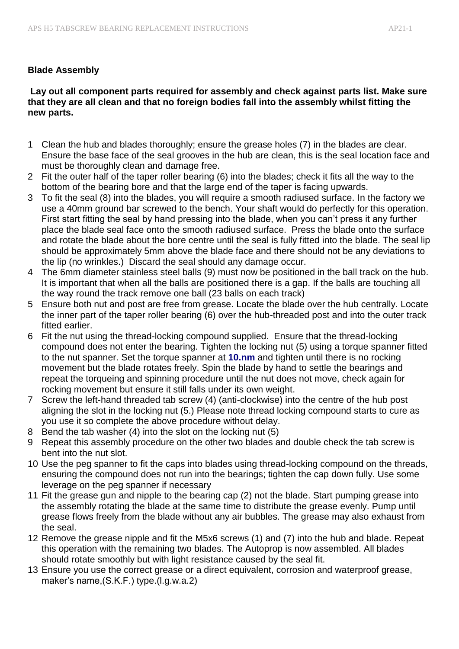## **Blade Assembly**

#### **Lay out all component parts required for assembly and check against parts list. Make sure that they are all clean and that no foreign bodies fall into the assembly whilst fitting the new parts.**

- 1 Clean the hub and blades thoroughly; ensure the grease holes (7) in the blades are clear. Ensure the base face of the seal grooves in the hub are clean, this is the seal location face and must be thoroughly clean and damage free.
- 2 Fit the outer half of the taper roller bearing (6) into the blades; check it fits all the way to the bottom of the bearing bore and that the large end of the taper is facing upwards.
- 3 To fit the seal (8) into the blades, you will require a smooth radiused surface. In the factory we use a 40mm ground bar screwed to the bench. Your shaft would do perfectly for this operation. First start fitting the seal by hand pressing into the blade, when you can't press it any further place the blade seal face onto the smooth radiused surface. Press the blade onto the surface and rotate the blade about the bore centre until the seal is fully fitted into the blade. The seal lip should be approximately 5mm above the blade face and there should not be any deviations to the lip (no wrinkles.) Discard the seal should any damage occur.
- 4 The 6mm diameter stainless steel balls (9) must now be positioned in the ball track on the hub. It is important that when all the balls are positioned there is a gap. If the balls are touching all the way round the track remove one ball (23 balls on each track)
- 5 Ensure both nut and post are free from grease. Locate the blade over the hub centrally. Locate the inner part of the taper roller bearing (6) over the hub-threaded post and into the outer track fitted earlier.
- 6 Fit the nut using the thread-locking compound supplied. Ensure that the thread-locking compound does not enter the bearing. Tighten the locking nut (5) using a torque spanner fitted to the nut spanner. Set the torque spanner at **10.nm** and tighten until there is no rocking movement but the blade rotates freely. Spin the blade by hand to settle the bearings and repeat the torqueing and spinning procedure until the nut does not move, check again for rocking movement but ensure it still falls under its own weight.
- 7 Screw the left-hand threaded tab screw (4) (anti-clockwise) into the centre of the hub post aligning the slot in the locking nut (5.) Please note thread locking compound starts to cure as you use it so complete the above procedure without delay.
- 8 Bend the tab washer (4) into the slot on the locking nut (5)
- 9 Repeat this assembly procedure on the other two blades and double check the tab screw is bent into the nut slot.
- 10 Use the peg spanner to fit the caps into blades using thread-locking compound on the threads, ensuring the compound does not run into the bearings; tighten the cap down fully. Use some leverage on the peg spanner if necessary
- 11 Fit the grease gun and nipple to the bearing cap (2) not the blade. Start pumping grease into the assembly rotating the blade at the same time to distribute the grease evenly. Pump until grease flows freely from the blade without any air bubbles. The grease may also exhaust from the seal.
- 12 Remove the grease nipple and fit the M5x6 screws (1) and (7) into the hub and blade. Repeat this operation with the remaining two blades. The Autoprop is now assembled. All blades should rotate smoothly but with light resistance caused by the seal fit.
- 13 Ensure you use the correct grease or a direct equivalent, corrosion and waterproof grease, maker's name,(S.K.F.) type.(l.g.w.a.2)